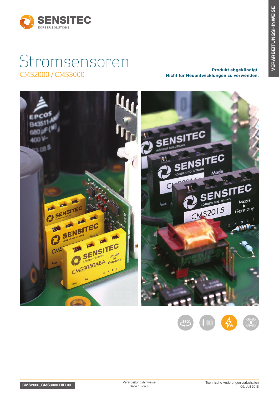

# Stromsensoren CMS2000 / CMS3000 Produkt abgekündigt.<br>CMS2000 / CMS3000 Produkt abgekündigt.

Nicht für Neuentwicklungen zu verwenden.





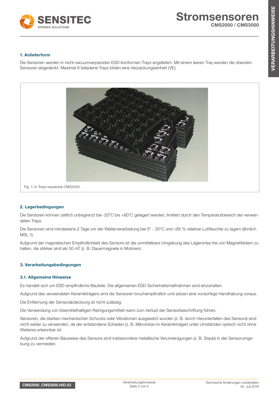

# 1. Anlieferform

Die Sensoren werden in nicht-vacuumverpackten ESD-konformen Trays angeliefert. Mit einem leeren Tray werden die obersten Sensoren abgedeckt. Maximal 6 beladene Trays bilden eine Verpackungseinheit (VE).



## 2. Lagerbedingungen

Die Sensoren können zeitlich unbegrenzt bei -20°C bis +80°C gelagert werden, limitiert durch den Temperaturbereich der verwendeten Trays.

Die Sensoren sind mindestens 2 Tage vor der Weiterverarbeitung bei 5° - 30°C und <85 % relativer Luftfeuchte zu lagern (ähnlich MSL 1).

Aufgrund der magnetischen Empfindlichkeit des Sensors ist die unmittelbare Umgebung des Lagerortes frei von Magnetfeldern zu halten, die stärker sind als 50 mT (z. B. Dauermagnete in Motoren).

## 3. Verarbeitungsbedingungen

#### 3.1. Allgemeine Hinweise

Es handelt sich um ESD-empfindliche Bauteile. Die allgemeinen ESD-Sicherheitsmaßnahmen sind einzuhalten.

Aufgrund des verwendeten Keramikträgers sind die Sensoren bruchempfindlich und setzen eine vorsichtige Handhabung voraus.

Die Entfernung der Sensorabdeckung ist nicht zulässig.

Die Verwendung von lösemittelhaltigen Reinigungsmitteln kann zum Verlust der Sensorbeschriftung führen.

Sensoren, die starken mechanischen Schocks oder Vibrationen ausgesetzt wurden (z. B. durch Herunterfallen des Sensors) sind nicht weiter zu verwenden, da der entstandene Schaden (z. B. Mikrorisse im Keramikträger) unter Umständen optisch nicht ohne Weiteres erkennbar ist.

Aufgrund der offenen Bauweise des Sensors sind insbesondere metallische Verunreinigungen (z. B. Staub) in der Sensorumgebung zu vermeiden.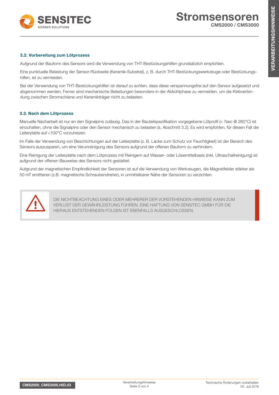

# 3.2. Vorbereitung zum Lötprozess

Aufgrund der Bauform des Sensors wird die Verwendung von THT-Bestückungshilfen grundsätzlich empfohlen.

Eine punktuelle Belastung der Sensor-Rückseite (Keramik-Substrat), z. B. durch THT-Bestückungswerkzeuge oder Bestückungshilfen, ist zu vermeiden.

Bei der Verwendung von THT-Bestückungshilfen ist darauf zu achten, dass diese verspannungsfrei auf den Sensor aufgesetzt und abgenommen werden. Ferner sind mechanische Belastungen besonders in der Abkühlphase zu vermeiden, um die Klebverbindung zwischen Stromschiene und Keramikträger nicht zu belasten.

# 3.3. Nach dem Lötprozess

Manuelle Nacharbeit ist nur an den Signalpins zulässig. Das in der Bauteilspezifikation vorgegebene Lötprofil (< 7sec @ 260°C) ist einzuhalten, ohne die Signalpins oder den Sensor mechanisch zu belasten (s. Abschnitt 3.2). Es wird empfohlen, für diesen Fall die Leiterplatte auf <100°C vorzuheizen.

Im Falle der Verwendung von Beschichtungen auf der Leiterplatte (z. B. Lacke zum Schutz vor Feuchtigkeit) ist der Bereich des Sensors auszusparen, um eine Verunreinigung des Sensors aufgrund der offenen Bauform zu verhindern.

Eine Reinigung der Leiterplatte nach dem Lötprozess mit Reinigern auf Wasser- oder Lösemittelbasis (inkl. Ultraschallreinigung) ist aufgrund der offenen Bauweise des Sensors nicht gestattet.

Aufgrund der magnetischen Empfindlichkeit der Sensoren ist auf die Verwendung von Werkzeugen, die Magnetfelder stärker als 50 mT emittieren (z.B. magnetische Schraubendreher), in unmittelbarer Nähe der Sensoren zu verzichten.



DIE NICHTBEACHTUNG EINES ODER MEHRERER DER VORSTEHENDEN HINWEISE KANN ZUM VERLUST DER GEWÄHRLEISTUNG FÜHREN. EINE HAFTUNG VON SENSITEC GMBH FÜR DIE HIERAUS ENTSTEHENDEN FOLGEN IST EBENFALLS AUSGESCHLOSSEN.